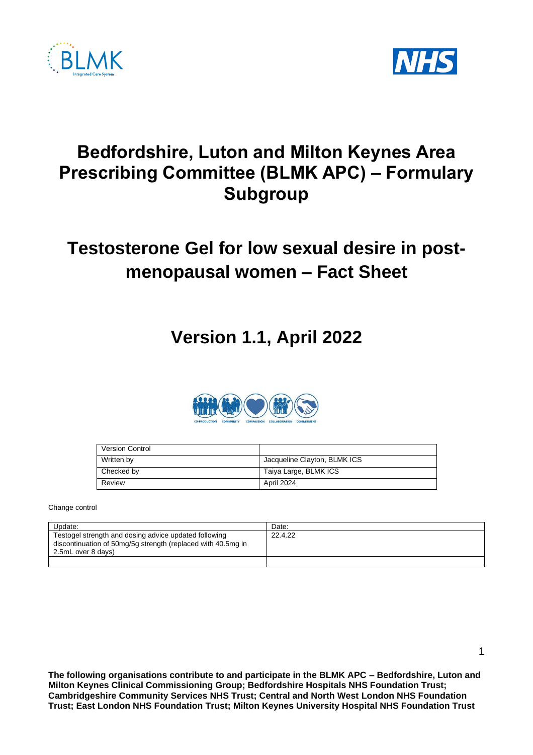



## **Bedfordshire, Luton and Milton Keynes Area Prescribing Committee (BLMK APC) – Formulary Subgroup**

# **Testosterone Gel for low sexual desire in postmenopausal women – Fact Sheet**

## **Version 1.1, April 2022**



| <b>Version Control</b> |                              |
|------------------------|------------------------------|
| Written by             | Jacqueline Clayton, BLMK ICS |
| Checked by             | Taiya Large, BLMK ICS        |
| Review                 | April 2024                   |

Change control

| Update:                                                                                                                                     | Date:   |
|---------------------------------------------------------------------------------------------------------------------------------------------|---------|
| Testogel strength and dosing advice updated following<br>discontinuation of 50mg/5g strength (replaced with 40.5mg in<br>2.5mL over 8 days) | 22.4.22 |
|                                                                                                                                             |         |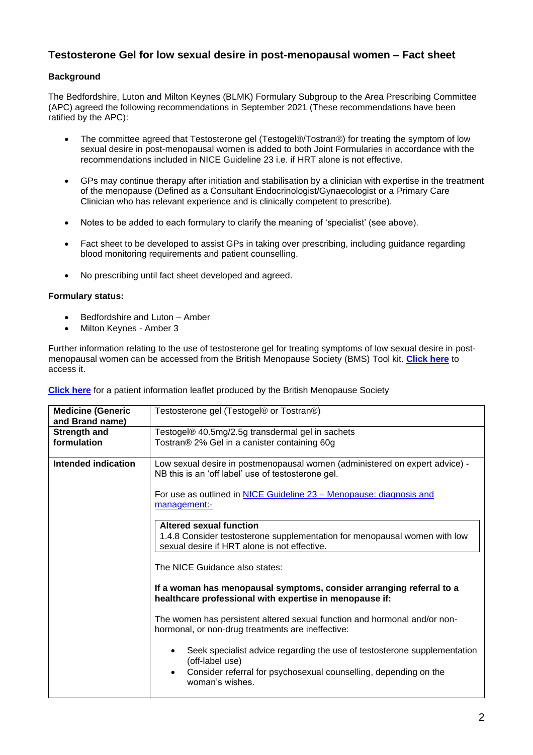### **Testosterone Gel for low sexual desire in post-menopausal women – Fact sheet**

### **Background**

The Bedfordshire, Luton and Milton Keynes (BLMK) Formulary Subgroup to the Area Prescribing Committee (APC) agreed the following recommendations in September 2021 (These recommendations have been ratified by the APC):

- The committee agreed that Testosterone gel (Testogel®/Tostran®) for treating the symptom of low sexual desire in post-menopausal women is added to both Joint Formularies in accordance with the recommendations included in NICE Guideline 23 i.e. if HRT alone is not effective.
- GPs may continue therapy after initiation and stabilisation by a clinician with expertise in the treatment of the menopause (Defined as a Consultant Endocrinologist/Gynaecologist or a Primary Care Clinician who has relevant experience and is clinically competent to prescribe).
- Notes to be added to each formulary to clarify the meaning of 'specialist' (see above).
- Fact sheet to be developed to assist GPs in taking over prescribing, including quidance regarding blood monitoring requirements and patient counselling.
- No prescribing until fact sheet developed and agreed.

#### **Formulary status:**

- Bedfordshire and Luton Amber
- Milton Keynes Amber 3

Further information relating to the use of testosterone gel for treating symptoms of low sexual desire in postmenopausal women can be accessed from the British Menopause Society (BMS) Tool kit. **[Click here](https://thebms.org.uk/wp-content/uploads/2020/04/08-BMS-ToolforClinician-Testosterone-replacement-in-menopause-APR2020.pdf)** to access it.

**[Click here](https://www.womens-health-concern.org/wp-content/uploads/2020/12/22-WHC-FACTSHEET-Testosterone-for-women-DEC2020.pdf)** for a patient information leaflet produced by the British Menopause Society

| <b>Medicine (Generic</b><br>and Brand name) | Testosterone gel (Testogel® or Tostran®)                                                                                                                                                        |  |
|---------------------------------------------|-------------------------------------------------------------------------------------------------------------------------------------------------------------------------------------------------|--|
| <b>Strength and</b>                         | Testogel® 40.5mg/2.5g transdermal gel in sachets                                                                                                                                                |  |
| formulation                                 | Tostran® 2% Gel in a canister containing 60g                                                                                                                                                    |  |
| Intended indication                         | Low sexual desire in postmenopausal women (administered on expert advice) -<br>NB this is an 'off label' use of testosterone gel.                                                               |  |
|                                             | For use as outlined in NICE Guideline 23 – Menopause: diagnosis and<br>management:-                                                                                                             |  |
|                                             | <b>Altered sexual function</b><br>1.4.8 Consider testosterone supplementation for menopausal women with low<br>sexual desire if HRT alone is not effective.                                     |  |
|                                             | The NICE Guidance also states:                                                                                                                                                                  |  |
|                                             | If a woman has menopausal symptoms, consider arranging referral to a<br>healthcare professional with expertise in menopause if:                                                                 |  |
|                                             | The women has persistent altered sexual function and hormonal and/or non-<br>hormonal, or non-drug treatments are ineffective:                                                                  |  |
|                                             | Seek specialist advice regarding the use of testosterone supplementation<br>(off-label use)<br>Consider referral for psychosexual counselling, depending on the<br>$\bullet$<br>woman's wishes. |  |
|                                             |                                                                                                                                                                                                 |  |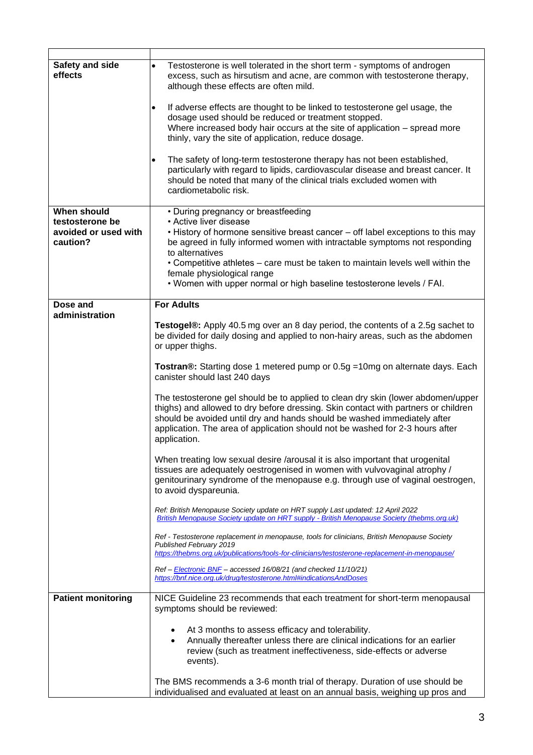| Safety and side<br>effects              | Testosterone is well tolerated in the short term - symptoms of androgen<br>$\bullet$<br>excess, such as hirsutism and acne, are common with testosterone therapy,<br>although these effects are often mild.                                                                                                                                         |
|-----------------------------------------|-----------------------------------------------------------------------------------------------------------------------------------------------------------------------------------------------------------------------------------------------------------------------------------------------------------------------------------------------------|
|                                         | If adverse effects are thought to be linked to testosterone gel usage, the<br>dosage used should be reduced or treatment stopped.<br>Where increased body hair occurs at the site of application - spread more<br>thinly, vary the site of application, reduce dosage.                                                                              |
|                                         | The safety of long-term testosterone therapy has not been established,<br>$\bullet$<br>particularly with regard to lipids, cardiovascular disease and breast cancer. It<br>should be noted that many of the clinical trials excluded women with<br>cardiometabolic risk.                                                                            |
| <b>When should</b>                      | • During pregnancy or breastfeeding                                                                                                                                                                                                                                                                                                                 |
| testosterone be<br>avoided or used with | • Active liver disease<br>. History of hormone sensitive breast cancer – off label exceptions to this may                                                                                                                                                                                                                                           |
| caution?                                | be agreed in fully informed women with intractable symptoms not responding<br>to alternatives                                                                                                                                                                                                                                                       |
|                                         | • Competitive athletes – care must be taken to maintain levels well within the<br>female physiological range<br>. Women with upper normal or high baseline testosterone levels / FAI.                                                                                                                                                               |
|                                         |                                                                                                                                                                                                                                                                                                                                                     |
| Dose and<br>administration              | <b>For Adults</b>                                                                                                                                                                                                                                                                                                                                   |
|                                         | Testogel®: Apply 40.5 mg over an 8 day period, the contents of a 2.5g sachet to<br>be divided for daily dosing and applied to non-hairy areas, such as the abdomen<br>or upper thighs.                                                                                                                                                              |
|                                         | Tostran®: Starting dose 1 metered pump or 0.5g = 10mg on alternate days. Each<br>canister should last 240 days                                                                                                                                                                                                                                      |
|                                         | The testosterone gel should be to applied to clean dry skin (lower abdomen/upper<br>thighs) and allowed to dry before dressing. Skin contact with partners or children<br>should be avoided until dry and hands should be washed immediately after<br>application. The area of application should not be washed for 2-3 hours after<br>application. |
|                                         | When treating low sexual desire /arousal it is also important that urogenital<br>tissues are adequately oestrogenised in women with vulvovaginal atrophy /<br>genitourinary syndrome of the menopause e.g. through use of vaginal oestrogen,<br>to avoid dyspareunia.                                                                               |
|                                         | Ref: British Menopause Society update on HRT supply Last updated: 12 April 2022<br>British Menopause Society update on HRT supply - British Menopause Society (thebms.org.uk)                                                                                                                                                                       |
|                                         | Ref - Testosterone replacement in menopause, tools for clinicians, British Menopause Society<br>Published February 2019<br>https://thebms.org.uk/publications/tools-for-clinicians/testosterone-replacement-in-menopause/                                                                                                                           |
|                                         | Ref - Electronic BNF - accessed 16/08/21 (and checked 11/10/21)<br>https://bnf.nice.org.uk/drug/testosterone.html#indicationsAndDoses                                                                                                                                                                                                               |
| <b>Patient monitoring</b>               | NICE Guideline 23 recommends that each treatment for short-term menopausal<br>symptoms should be reviewed:                                                                                                                                                                                                                                          |
|                                         | At 3 months to assess efficacy and tolerability.<br>Annually thereafter unless there are clinical indications for an earlier<br>review (such as treatment ineffectiveness, side-effects or adverse<br>events).                                                                                                                                      |
|                                         | The BMS recommends a 3-6 month trial of therapy. Duration of use should be<br>individualised and evaluated at least on an annual basis, weighing up pros and                                                                                                                                                                                        |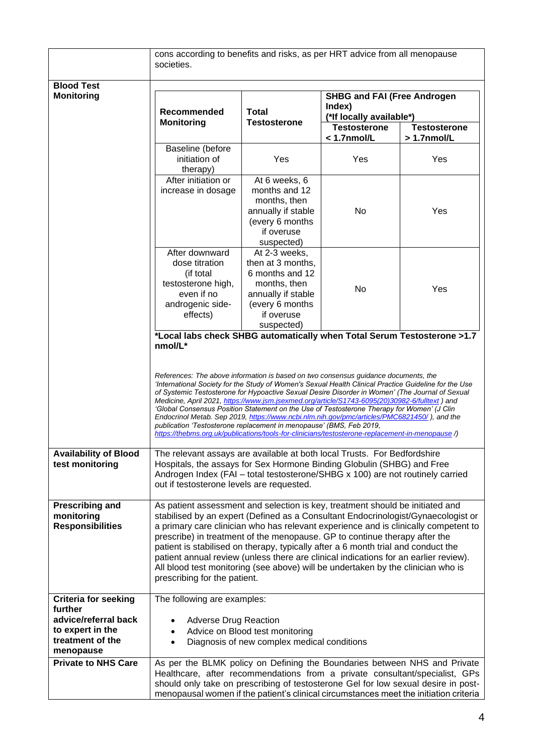|                                                                                                                     | cons according to benefits and risks, as per HRT advice from all menopause<br>societies.                                                                                                                                                                                                                                                                                                                                                                                                                                                                                                                                                                                                                                                                                                                                                                      |                                                                                                                                            |                                                                                                                        |               |
|---------------------------------------------------------------------------------------------------------------------|---------------------------------------------------------------------------------------------------------------------------------------------------------------------------------------------------------------------------------------------------------------------------------------------------------------------------------------------------------------------------------------------------------------------------------------------------------------------------------------------------------------------------------------------------------------------------------------------------------------------------------------------------------------------------------------------------------------------------------------------------------------------------------------------------------------------------------------------------------------|--------------------------------------------------------------------------------------------------------------------------------------------|------------------------------------------------------------------------------------------------------------------------|---------------|
| <b>Blood Test</b><br><b>Monitoring</b>                                                                              | Recommended<br><b>Monitoring</b>                                                                                                                                                                                                                                                                                                                                                                                                                                                                                                                                                                                                                                                                                                                                                                                                                              | <b>Total</b><br><b>Testosterone</b>                                                                                                        | <b>SHBG and FAI (Free Androgen</b><br>Index)<br>(*If locally available*)<br><b>Testosterone</b><br><b>Testosterone</b> |               |
|                                                                                                                     |                                                                                                                                                                                                                                                                                                                                                                                                                                                                                                                                                                                                                                                                                                                                                                                                                                                               |                                                                                                                                            | $< 1.7$ nmol/L                                                                                                         | $>1.7$ nmol/L |
|                                                                                                                     | Baseline (before<br>initiation of<br>therapy)                                                                                                                                                                                                                                                                                                                                                                                                                                                                                                                                                                                                                                                                                                                                                                                                                 | Yes                                                                                                                                        | Yes                                                                                                                    | Yes           |
|                                                                                                                     | After initiation or<br>increase in dosage                                                                                                                                                                                                                                                                                                                                                                                                                                                                                                                                                                                                                                                                                                                                                                                                                     | At 6 weeks, 6<br>months and 12<br>months, then<br>annually if stable<br>(every 6 months<br>if overuse<br>suspected)                        | No                                                                                                                     | Yes           |
|                                                                                                                     | After downward<br>dose titration<br>(if total<br>testosterone high,<br>even if no<br>androgenic side-<br>effects)                                                                                                                                                                                                                                                                                                                                                                                                                                                                                                                                                                                                                                                                                                                                             | At 2-3 weeks,<br>then at 3 months,<br>6 months and 12<br>months, then<br>annually if stable<br>(every 6 months<br>if overuse<br>suspected) | <b>No</b>                                                                                                              | Yes           |
|                                                                                                                     | *Local labs check SHBG automatically when Total Serum Testosterone >1.7<br>nmol/L*<br>References: The above information is based on two consensus guidance documents, the<br>International Society for the Study of Women's Sexual Health Clinical Practice Guideline for the Use<br>of Systemic Testosterone for Hypoactive Sexual Desire Disorder in Women' (The Journal of Sexual<br>Medicine, April 2021, https://www.jsm.jsexmed.org/article/S1743-6095(20)30982-6/fulltext) and<br>'Global Consensus Position Statement on the Use of Testosterone Therapy for Women' (J Clin<br>Endocrinol Metab. Sep 2019, https://www.ncbi.nlm.nih.gov/pmc/articles/PMC6821450/), and the<br>publication 'Testosterone replacement in menopause' (BMS, Feb 2019,<br>https://thebms.org.uk/publications/tools-for-clinicians/testosterone-replacement-in-menopause /) |                                                                                                                                            |                                                                                                                        |               |
| <b>Availability of Blood</b><br>test monitoring                                                                     | The relevant assays are available at both local Trusts. For Bedfordshire<br>Hospitals, the assays for Sex Hormone Binding Globulin (SHBG) and Free<br>Androgen Index (FAI - total testosterone/SHBG x 100) are not routinely carried<br>out if testosterone levels are requested.                                                                                                                                                                                                                                                                                                                                                                                                                                                                                                                                                                             |                                                                                                                                            |                                                                                                                        |               |
| <b>Prescribing and</b><br>monitoring<br><b>Responsibilities</b>                                                     | As patient assessment and selection is key, treatment should be initiated and<br>stabilised by an expert (Defined as a Consultant Endocrinologist/Gynaecologist or<br>a primary care clinician who has relevant experience and is clinically competent to<br>prescribe) in treatment of the menopause. GP to continue therapy after the<br>patient is stabilised on therapy, typically after a 6 month trial and conduct the<br>patient annual review (unless there are clinical indications for an earlier review).<br>All blood test monitoring (see above) will be undertaken by the clinician who is<br>prescribing for the patient.                                                                                                                                                                                                                      |                                                                                                                                            |                                                                                                                        |               |
| <b>Criteria for seeking</b><br>further<br>advice/referral back<br>to expert in the<br>treatment of the<br>menopause | The following are examples:<br><b>Adverse Drug Reaction</b><br>٠<br>$\bullet$                                                                                                                                                                                                                                                                                                                                                                                                                                                                                                                                                                                                                                                                                                                                                                                 | Advice on Blood test monitoring<br>Diagnosis of new complex medical conditions                                                             |                                                                                                                        |               |
| <b>Private to NHS Care</b>                                                                                          | As per the BLMK policy on Defining the Boundaries between NHS and Private<br>Healthcare, after recommendations from a private consultant/specialist, GPs<br>should only take on prescribing of testosterone Gel for low sexual desire in post-<br>menopausal women if the patient's clinical circumstances meet the initiation criteria                                                                                                                                                                                                                                                                                                                                                                                                                                                                                                                       |                                                                                                                                            |                                                                                                                        |               |